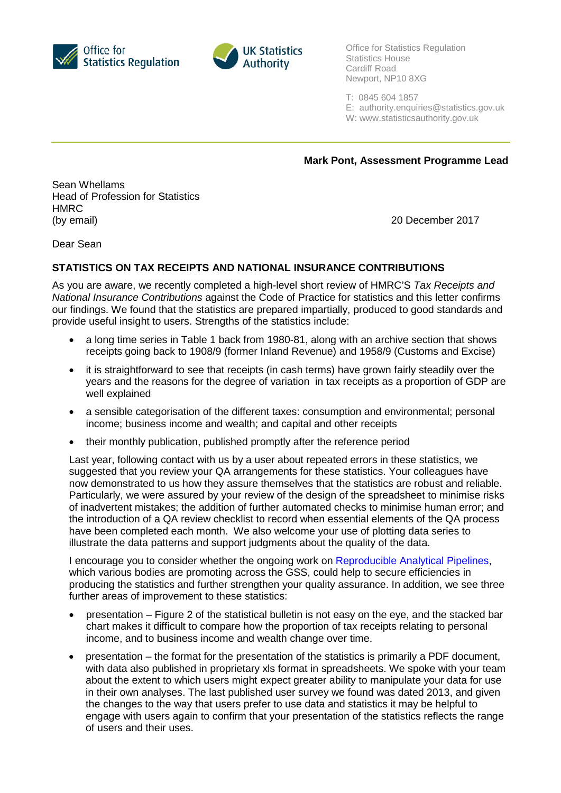



Office for Statistics Regulation Statistics House Cardiff Road Newport, NP10 8XG

T: 0845 604 1857

E: [authority.enquiries@statistics.gov.uk](mailto:authority.enquiries@statistics.gov.uk)

W: www.statisticsauthority.gov.uk

**Mark Pont, Assessment Programme Lead**

Sean Whellams Head of Profession for Statistics HMRC (by email) 20 December 2017

Dear Sean

## **STATISTICS ON TAX RECEIPTS AND NATIONAL INSURANCE CONTRIBUTIONS**

As you are aware, we recently completed a high-level short review of HMRC'S *Tax Receipts and National Insurance Contributions* against the Code of Practice for statistics and this letter confirms our findings. We found that the statistics are prepared impartially, produced to good standards and provide useful insight to users. Strengths of the statistics include:

- a long time series in Table 1 back from 1980-81, along with an archive section that shows receipts going back to 1908/9 (former Inland Revenue) and 1958/9 (Customs and Excise)
- it is straightforward to see that receipts (in cash terms) have grown fairly steadily over the years and the reasons for the degree of variation in tax receipts as a proportion of GDP are well explained
- a sensible categorisation of the different taxes: consumption and environmental; personal income; business income and wealth; and capital and other receipts
- their monthly publication, published promptly after the reference period

Last year, following contact with us by a user about repeated errors in these statistics, we suggested that you review your QA arrangements for these statistics. Your colleagues have now demonstrated to us how they assure themselves that the statistics are robust and reliable. Particularly, we were assured by your review of the design of the spreadsheet to minimise risks of inadvertent mistakes; the addition of further automated checks to minimise human error; and the introduction of a QA review checklist to record when essential elements of the QA process have been completed each month. We also welcome your use of plotting data series to illustrate the data patterns and support judgments about the quality of the data.

I encourage you to consider whether the ongoing work on [Reproducible Analytical Pipelines,](https://dataingovernment.blog.gov.uk/2017/11/27/transforming-the-process-of-producing-official-statistics/) which various bodies are promoting across the GSS, could help to secure efficiencies in producing the statistics and further strengthen your quality assurance. In addition, we see three further areas of improvement to these statistics:

- presentation Figure 2 of the statistical bulletin is not easy on the eye, and the stacked bar chart makes it difficult to compare how the proportion of tax receipts relating to personal income, and to business income and wealth change over time.
- presentation the format for the presentation of the statistics is primarily a PDF document, with data also published in proprietary xls format in spreadsheets. We spoke with your team about the extent to which users might expect greater ability to manipulate your data for use in their own analyses. The last published user survey we found was dated 2013, and given the changes to the way that users prefer to use data and statistics it may be helpful to engage with users again to confirm that your presentation of the statistics reflects the range of users and their uses.